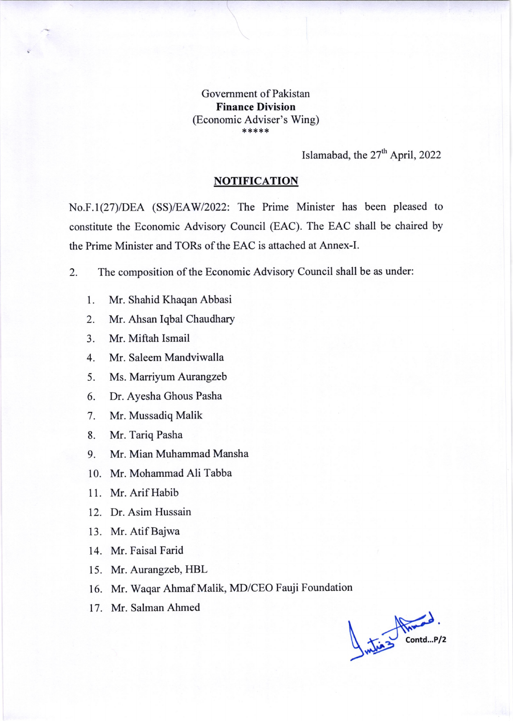Government of Pakistan Finance Division (Economic Adviser's Wing) \* \*\*\*\*

Islamabad, the  $27<sup>th</sup>$  April, 2022

## NOTIFICATION

No.F.1(27)/DEA (SS)/EAW/2022: The Prime Minister has been pleased to constitute the Economic Advisory Council (EAC). The EAC shall be chaired by the Prime Minister and TORs of the EAC is attached at Annex-I.

2. The composition of the Economic Advisory Council shall be as under:

- l. Mr. Shahid Khaqan Abbasi
- 2. Mr. Ahsan Iqbal Chaudhary
- 3. Mr. Miftah Ismail
- 4. Mr. Saleem Mandviwalla
- 5. Ms. Marriyum Aurangzeb
- 6. Dr. Ayesha Ghous Pasha
- 7. Mr. Mussadiq Malik
- 8. Mr. Tariq Pasha
- 9. Mr. Mian Muhammad Mansha
- 10. Mr. Mohammad Ali Tabba
- <sup>I</sup>l. Mr. Arif Habib
- 12. Dr. Asim Hussain
- 13. Mr. Atif Bajwa
- 14. Mr. Faisal Farid
- 15. Mr. Aurangzeb, HBL
- 16. Mr. Waqar Ahmaf Malik, MD/CEO Fauji Foundation
- 17. Mr. Salman Ahmed